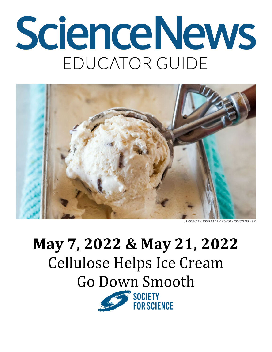# ScienceNews EDUCATOR GUIDE



## **May 7, 2022 & May 21, 2022** Cellulose Helps Ice Cream Go Down Smooth

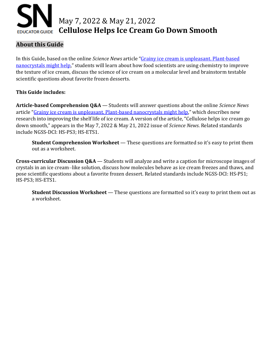

#### **About this Guide**

In this Guide, based on the online *Science News* article ["Grainy ice cream is unpleasant. Plant-based](https://www.sciencenews.org/article/ice-cream-crystals-grainy-nanocrystals-cellulose)  [nanocrystals might help,](https://www.sciencenews.org/article/ice-cream-crystals-grainy-nanocrystals-cellulose)" students will learn about how food scientists are using chemistry to improve the texture of ice cream, discuss the science of ice cream on a molecular level and brainstorm testable scientific questions about favorite frozen desserts.

#### **This Guide includes:**

**Article-based Comprehension Q&A** — Students will answer questions about the online *Science News* article ["Grainy ice cream is unpleasant. Plant-based nanocrystals might help,](https://www.sciencenews.org/article/ice-cream-crystals-grainy-nanocrystals-cellulose)" which describes new research into improving the shelf life of ice cream. A version of the article, "Cellulose helps ice cream go down smooth," appears in the May 7, 2022 & May 21, 2022 issue of *Science News*. Related standards include NGSS-DCI: HS-PS3; HS-ETS1.

**Student Comprehension Worksheet** — These questions are formatted so it's easy to print them out as a worksheet.

**Cross-curricular Discussion Q&A** — Students will analyze and write a caption for microscope images of crystals in an ice cream*–*like solution, discuss how molecules behave as ice cream freezes and thaws, and pose scientific questions about a favorite frozen dessert. Related standards include NGSS-DCI: HS-PS1; HS-PS3; HS-ETS1.

**Student Discussion Worksheet** — These questions are formatted so it's easy to print them out as a worksheet.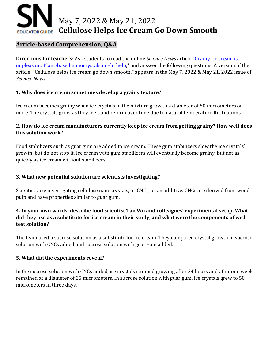## May 7, 2022 & May 21, 2022 **Cellulose Helps Ice Cream Go Down Smooth EDUCATOR GUIDE**

#### **Article-based Comprehension, Q&A**

**Directions for teachers**: Ask students to read the online *Science News* article ["Grainy ice cream is](https://www.sciencenews.org/article/ice-cream-crystals-grainy-nanocrystals-cellulose)  [unpleasant. Plant-based nanocrystals might help,"](https://www.sciencenews.org/article/ice-cream-crystals-grainy-nanocrystals-cellulose) and answer the following questions. A version of the article, "Cellulose helps ice cream go down smooth," appears in the May 7, 2022 & May 21, 2022 issue of *Science News*.

#### **1. Why does ice cream sometimes develop a grainy texture?**

Ice cream becomes grainy when ice crystals in the mixture grow to a diameter of 50 micrometers or more. The crystals grow as they melt and reform over time due to natural temperature fluctuations.

#### **2. How do ice cream manufacturers currently keep ice cream from getting grainy? How well does this solution work?**

Food stabilizers such as guar gum are added to ice cream. These gum stabilizers slow the ice crystals' growth, but do not stop it. Ice cream with gum stabilizers will eventually become grainy, but not as quickly as ice cream without stabilizers.

#### **3. What new potential solution are scientists investigating?**

Scientists are investigating cellulose nanocrystals, or CNCs, as an additive. CNCs are derived from wood pulp and have properties similar to guar gum.

#### **4. In your own words, describe food scientist Tao Wu and colleagues' experimental setup. What did they use as a substitute for ice cream in their study, and what were the components of each test solution?**

The team used a sucrose solution as a substitute for ice cream. They compared crystal growth in sucrose solution with CNCs added and sucrose solution with guar gum added.

#### **5. What did the experiments reveal?**

In the sucrose solution with CNCs added, ice crystals stopped growing after 24 hours and after one week, remained at a diameter of 25 micrometers. In sucrose solution with guar gum, ice crystals grew to 50 micrometers in three days.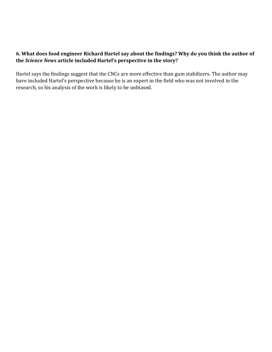#### **6. What does food engineer Richard Hartel say about the findings? Why do you think the author of the** *Science News* **article included Hartel's perspective in the story?**

Hartel says the findings suggest that the CNCs are more effective than gum stabilizers. The author may have included Hartel's perspective because he is an expert in the field who was not involved in the research, so his analysis of the work is likely to be unbiased.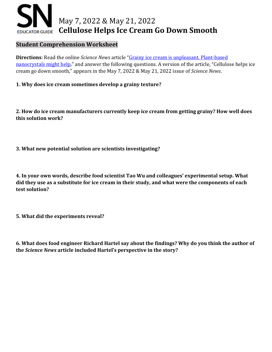## May 7, 2022 & May 21, 2022 **Cellulose Helps Ice Cream Go Down Smooth EDUCATOR GUIDE**

#### **Student Comprehension Worksheet**

**Directions**: Read the online *Science News* article ["Grainy ice cream is unpleasant. Plant-based](https://www.sciencenews.org/article/ice-cream-crystals-grainy-nanocrystals-cellulose)  [nanocrystals might help,](https://www.sciencenews.org/article/ice-cream-crystals-grainy-nanocrystals-cellulose)" and answer the following questions. A version of the article, "Cellulose helps ice cream go down smooth," appears in the May 7, 2022 & May 21, 2022 issue of *Science News*.

#### **1. Why does ice cream sometimes develop a grainy texture?**

**2. How do ice cream manufacturers currently keep ice cream from getting grainy? How well does this solution work?** 

**3. What new potential solution are scientists investigating?** 

**4. In your own words, describe food scientist Tao Wu and colleagues' experimental setup. What did they use as a substitute for ice cream in their study, and what were the components of each test solution?**

**5. What did the experiments reveal?**

**6. What does food engineer Richard Hartel say about the findings? Why do you think the author of the** *Science News* **article included Hartel's perspective in the story?**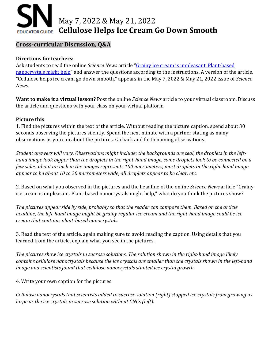## May 7, 2022 & May 21, 2022 **Cellulose Helps Ice Cream Go Down Smooth EDUCATOR GUIDE**

#### **Cross-curricular Discussion, Q&A**

#### **Directions for teachers:**

Ask students to read the online *Science News* article ["Grainy ice cream is unpleasant. Plant-based](https://www.sciencenews.org/article/ice-cream-crystals-grainy-nanocrystals-cellulose)  [nanocrystals might help"](https://www.sciencenews.org/article/ice-cream-crystals-grainy-nanocrystals-cellulose) and answer the questions according to the instructions. A version of the article, "Cellulose helps ice cream go down smooth," appears in the May 7, 2022 & May 21, 2022 issue of *Science News*.

**Want to make it a virtual lesson?** Post the online *Science News* article to your virtual classroom. Discuss the article and questions with your class on your virtual platform.

#### **Picture this**

1. Find the pictures within the text of the article. Without reading the picture caption, spend about 30 seconds observing the pictures silently. Spend the next minute with a partner stating as many observations as you can about the pictures. Go back and forth naming observations.

*Student answers will vary. Observations might include: the backgrounds are teal, the droplets in the lefthand image look bigger than the droplets in the right-hand image, some droplets look to be connected on a few sides, about an inch in the images represents 100 micrometers, most droplets in the right-hand image appear to be about 10 to 20 micrometers wide, all droplets appear to be clear, etc.*

2. Based on what you observed in the pictures and the headline of the online *Science News* article "Grainy ice cream is unpleasant. Plant-based nanocrystals might help," what do you think the pictures show?

*The pictures appear side by side, probably so that the reader can compare them. Based on the article headline, the left-hand image might be grainy regular ice cream and the right-hand image could be ice cream that contains plant-based nanocrystals.* 

3. Read the text of the article, again making sure to avoid reading the caption. Using details that you learned from the article, explain what you see in the pictures.

*The pictures show ice crystals in sucrose solutions. The solution shown in the right-hand image likely contains cellulose nanocrystals because the ice crystals are smaller than the crystals shown in the left-hand image and scientists found that cellulose nanocrystals stunted ice crystal growth.*

4. Write your own caption for the pictures.

*Cellulose nanocrystals that scientists added to sucrose solution (right) stopped ice crystals from growing as large as the ice crystals in sucrose solution without CNCs (left).*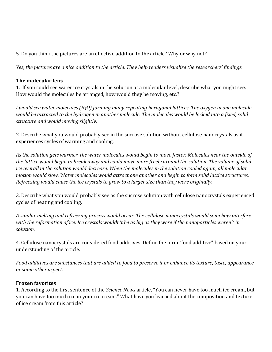5. Do you think the pictures are an effective addition to the article? Why or why not?

*Yes, the pictures are a nice addition to the article. They help readers visualize the researchers' findings.* 

#### **The molecular lens**

1. If you could see water ice crystals in the solution at a molecular level, describe what you might see. How would the molecules be arranged, how would they be moving, etc.?

*I would see water molecules (H2O) forming many repeating hexagonal lattices. The oxygen in one molecule would be attracted to the hydrogen in another molecule. The molecules would be locked into a fixed, solid structure and would moving slightly.* 

2. Describe what you would probably see in the sucrose solution without cellulose nanocrystals as it experiences cycles of warming and cooling.

*As the solution gets warmer, the water molecules would begin to move faster. Molecules near the outside of the lattice would begin to break away and could move more freely around the solution. The volume of solid ice overall in the solution would decrease. When the molecules in the solution cooled again, all molecular motion would slow. Water molecules would attract one another and begin to form solid lattice structures. Refreezing would cause the ice crystals to grow to a larger size than they were originally.* 

3. Describe what you would probably see as the sucrose solution with cellulose nanocrystals experienced cycles of heating and cooling.

*A similar melting and refreezing process would occur. The cellulose nanocrystals would somehow interfere with the reformation of ice. Ice crystals wouldn't be as big as they were if the nanoparticles weren't in solution.* 

4. Cellulose nanocrystals are considered food additives. Define the term "food additive" based on your understanding of the article.

*Food additives are substances that are added to food to preserve it or enhance its texture, taste, appearance or some other aspect.*

#### **Frozen favorites**

1. According to the first sentence of the *Science News* article, "You can never have too much ice cream, but you can have too much ice in your ice cream." What have you learned about the composition and texture of ice cream from this article?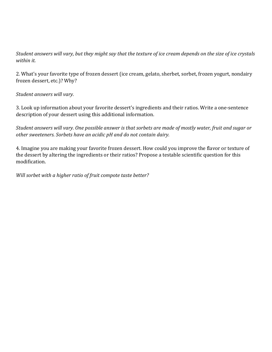*Student answers will vary, but they might say that the texture of ice cream depends on the size of ice crystals within it.* 

2. What's your favorite type of frozen dessert (ice cream, gelato, sherbet, sorbet, frozen yogurt, nondairy frozen dessert, etc.)? Why?

*Student answers will vary.*

3. Look up information about your favorite dessert's ingredients and their ratios. Write a one-sentence description of your dessert using this additional information.

*Student answers will vary. One possible answer is that sorbets are made of mostly water, fruit and sugar or other sweeteners. Sorbets have an acidic pH and do not contain dairy.*

4. Imagine you are making your favorite frozen dessert. How could you improve the flavor or texture of the dessert by altering the ingredients or their ratios? Propose a testable scientific question for this modification.

*Will sorbet with a higher ratio of fruit compote taste better?*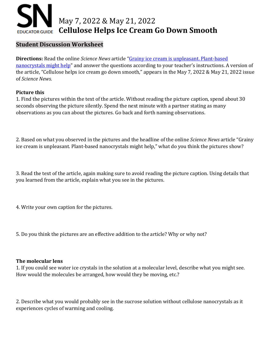

#### **Student Discussion Worksheet**

**Directions:** Read the online *Science News* article ["Grainy ice cream is unpleasant. Plant-based](https://www.sciencenews.org/article/ice-cream-crystals-grainy-nanocrystals-cellulose)  [nanocrystals might help"](https://www.sciencenews.org/article/ice-cream-crystals-grainy-nanocrystals-cellulose) and answer the questions according to your teacher's instructions. A version of the article, "Cellulose helps ice cream go down smooth," appears in the May 7, 2022 & May 21, 2022 issue of *Science News*.

#### **Picture this**

1. Find the pictures within the text of the article. Without reading the picture caption, spend about 30 seconds observing the picture silently. Spend the next minute with a partner stating as many observations as you can about the pictures. Go back and forth naming observations.

2. Based on what you observed in the pictures and the headline of the online *Science News* article "Grainy ice cream is unpleasant. Plant-based nanocrystals might help," what do you think the pictures show?

3. Read the text of the article, again making sure to avoid reading the picture caption. Using details that you learned from the article, explain what you see in the pictures.

4. Write your own caption for the pictures.

5. Do you think the pictures are an effective addition to the article? Why or why not?

#### **The molecular lens**

1. If you could see water ice crystals in the solution at a molecular level, describe what you might see. How would the molecules be arranged, how would they be moving, etc.?

2. Describe what you would probably see in the sucrose solution without cellulose nanocrystals as it experiences cycles of warming and cooling.